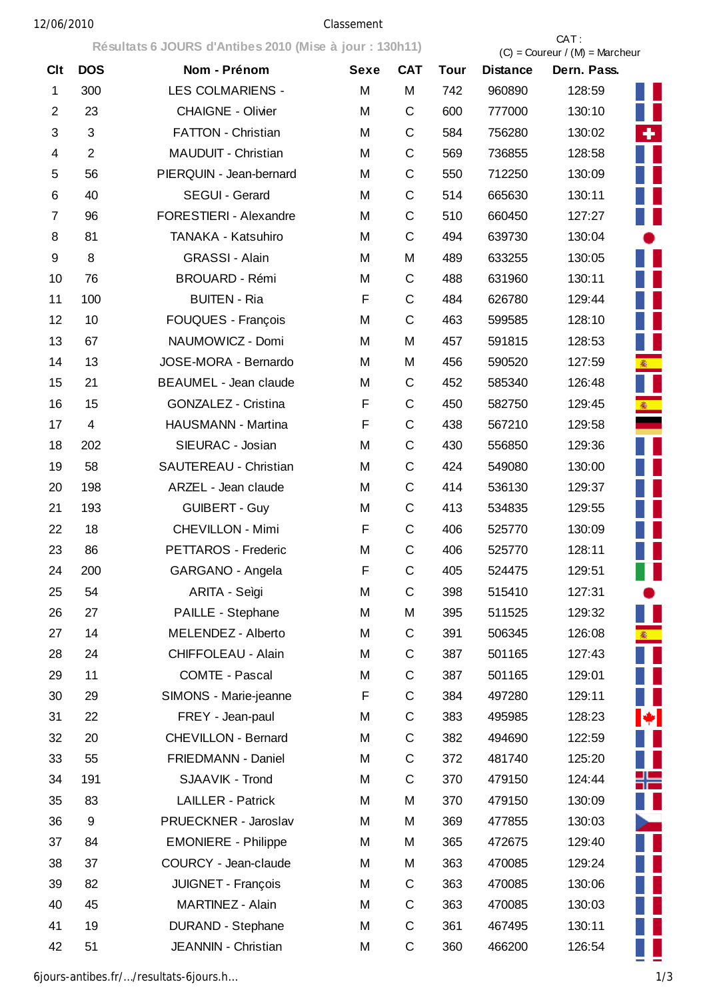## 12/06/2010 Classement

**Résultats 6 JOURS d'Antibes 2010 (Mise à jour : 130h11)** CAT :

|                         |                |                            |      |              | $(C)$ = Coureur / $(M)$ = Marcheur |                 |             |                          |
|-------------------------|----------------|----------------------------|------|--------------|------------------------------------|-----------------|-------------|--------------------------|
| <b>Clt</b>              | <b>DOS</b>     | Nom - Prénom               | Sexe | <b>CAT</b>   | <b>Tour</b>                        | <b>Distance</b> | Dern. Pass. |                          |
| 1                       | 300            | <b>LES COLMARIENS -</b>    | M    | M            | 742                                | 960890          | 128:59      |                          |
| $\overline{2}$          | 23             | <b>CHAIGNE - Olivier</b>   | M    | C            | 600                                | 777000          | 130:10      |                          |
| $\sqrt{3}$              | 3              | <b>FATTON - Christian</b>  | M    | C            | 584                                | 756280          | 130:02      | ÷                        |
| $\overline{\mathbf{4}}$ | $\overline{2}$ | MAUDUIT - Christian        | M    | $\mathsf{C}$ | 569                                | 736855          | 128:58      |                          |
| 5                       | 56             | PIERQUIN - Jean-bernard    | M    | C            | 550                                | 712250          | 130:09      |                          |
| 6                       | 40             | SEGUI - Gerard             | M    | C            | 514                                | 665630          | 130:11      |                          |
| 7                       | 96             | FORESTIERI - Alexandre     | M    | C            | 510                                | 660450          | 127:27      |                          |
| 8                       | 81             | TANAKA - Katsuhiro         | M    | $\mathsf{C}$ | 494                                | 639730          | 130:04      |                          |
| 9                       | 8              | <b>GRASSI - Alain</b>      | M    | M            | 489                                | 633255          | 130:05      |                          |
| 10                      | 76             | <b>BROUARD - Rémi</b>      | M    | C            | 488                                | 631960          | 130:11      |                          |
| 11                      | 100            | <b>BUITEN - Ria</b>        | F    | C            | 484                                | 626780          | 129:44      |                          |
| 12                      | 10             | FOUQUES - François         | M    | $\mathsf C$  | 463                                | 599585          | 128:10      |                          |
| 13                      | 67             | NAUMOWICZ - Domi           | M    | M            | 457                                | 591815          | 128:53      |                          |
| 14                      | 13             | JOSE-MORA - Bernardo       | M    | M            | 456                                | 590520          | 127:59      | <b>参</b>                 |
| 15                      | 21             | BEAUMEL - Jean claude      | M    | C            | 452                                | 585340          | 126:48      |                          |
| 16                      | 15             | GONZALEZ - Cristina        | F    | C            | 450                                | 582750          | 129:45      | <b>参</b>                 |
| 17                      | $\overline{4}$ | HAUSMANN - Martina         | F    | $\mathsf C$  | 438                                | 567210          | 129:58      |                          |
| 18                      | 202            | SIEURAC - Josian           | M    | C            | 430                                | 556850          | 129:36      |                          |
| 19                      | 58             | SAUTEREAU - Christian      | M    | C            | 424                                | 549080          | 130:00      |                          |
| 20                      | 198            | ARZEL - Jean claude        | M    | C            | 414                                | 536130          | 129:37      |                          |
| 21                      | 193            | <b>GUIBERT - Guy</b>       | M    | $\mathsf C$  | 413                                | 534835          | 129:55      |                          |
| 22                      | 18             | <b>CHEVILLON - Mimi</b>    | F    | C            | 406                                | 525770          | 130:09      |                          |
| 23                      | 86             | PETTAROS - Frederic        | M    | $\mathsf C$  | 406                                | 525770          | 128:11      |                          |
| 24                      | 200            | GARGANO - Angela           | F    | C            | 405                                | 524475          | 129:51      |                          |
| 25                      | 54             | ARITA - Seìgi              | M    | C            | 398                                | 515410          | 127:31      |                          |
| 26                      | 27             | PAILLE - Stephane          | M    | M            | 395                                | 511525          | 129:32      |                          |
| 27                      | 14             | MELENDEZ - Alberto         | M    | С            | 391                                | 506345          | 126:08      | <b>徽</b>                 |
| 28                      | 24             | CHIFFOLEAU - Alain         | M    | C            | 387                                | 501165          | 127:43      |                          |
| 29                      | 11             | <b>COMTE - Pascal</b>      | M    | C            | 387                                | 501165          | 129:01      |                          |
| 30                      | 29             | SIMONS - Marie-jeanne      | F    | $\mathsf C$  | 384                                | 497280          | 129:11      |                          |
| 31                      | 22             | FREY - Jean-paul           | M    | C            | 383                                | 495985          | 128:23      | $\bigstar$ .             |
| 32                      | 20             | CHEVILLON - Bernard        | M    | C            | 382                                | 494690          | 122:59      |                          |
| 33                      | 55             | FRIEDMANN - Daniel         | M    | C            | 372                                | 481740          | 125:20      |                          |
| 34                      | 191            | SJAAVIK - Trond            | M    | C            | 370                                | 479150          | 124:44      | ╬═                       |
| 35                      | 83             | <b>LAILLER - Patrick</b>   | M    | M            | 370                                | 479150          | 130:09      |                          |
| 36                      | 9              | PRUECKNER - Jaroslav       | M    | M            | 369                                | 477855          | 130:03      | $\overline{\phantom{a}}$ |
| 37                      | 84             | <b>EMONIERE - Philippe</b> | M    | M            | 365                                | 472675          | 129:40      |                          |
| 38                      | 37             | COURCY - Jean-claude       | M    | M            | 363                                | 470085          | 129:24      |                          |
| 39                      | 82             | JUIGNET - François         | M    | С            | 363                                | 470085          | 130:06      |                          |
| 40                      | 45             | MARTINEZ - Alain           | M    | С            | 363                                | 470085          | 130:03      |                          |
| 41                      | 19             | <b>DURAND - Stephane</b>   | M    | C            | 361                                | 467495          | 130:11      |                          |
| 42                      | 51             | JEANNIN - Christian        | M    | C            | 360                                | 466200          | 126:54      |                          |
|                         |                |                            |      |              |                                    |                 |             |                          |

6jours-antibes.fr/…/resultats-6jours.h… 1/3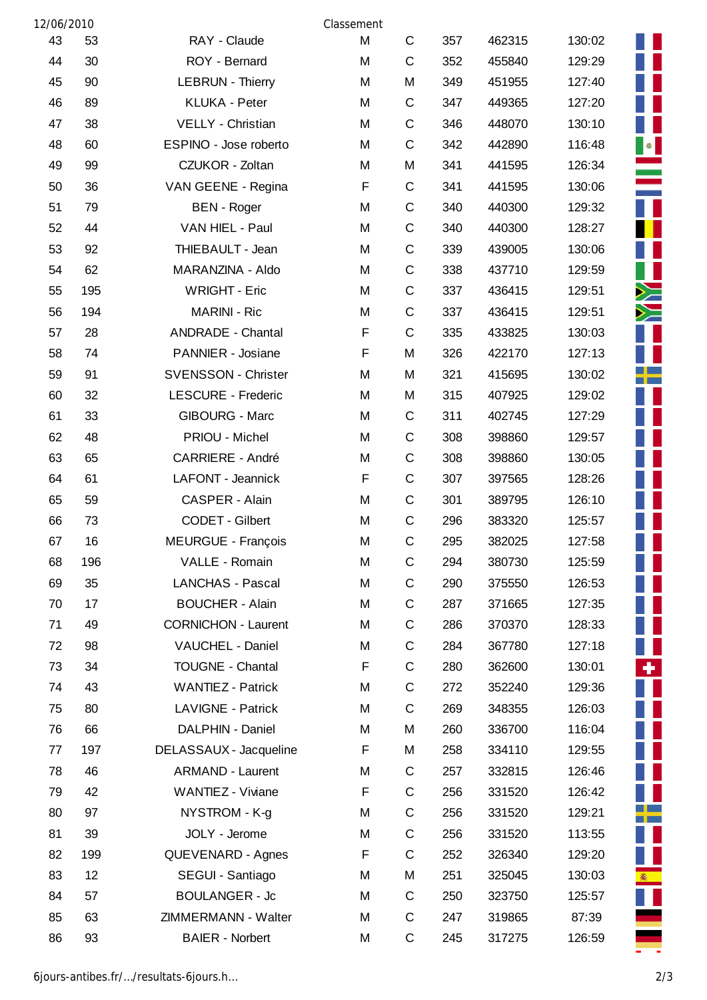| 12/06/2010 |     |                            | Classement |   |     |        |        |
|------------|-----|----------------------------|------------|---|-----|--------|--------|
| 43         | 53  | RAY - Claude               | M          | C | 357 | 462315 | 130:02 |
| 44         | 30  | ROY - Bernard              | M          | C | 352 | 455840 | 129:29 |
| 45         | 90  | <b>LEBRUN - Thierry</b>    | M          | M | 349 | 451955 | 127:40 |
| 46         | 89  | <b>KLUKA - Peter</b>       | M          | C | 347 | 449365 | 127:20 |
| 47         | 38  | VELLY - Christian          | M          | C | 346 | 448070 | 130:10 |
| 48         | 60  | ESPINO - Jose roberto      | M          | C | 342 | 442890 | 116:48 |
| 49         | 99  | CZUKOR - Zoltan            | M          | M | 341 | 441595 | 126:34 |
| 50         | 36  | VAN GEENE - Regina         | F          | C | 341 | 441595 | 130:06 |
| 51         | 79  | <b>BEN</b> - Roger         | M          | C | 340 | 440300 | 129:32 |
| 52         | 44  | VAN HIEL - Paul            | M          | C | 340 | 440300 | 128:27 |
| 53         | 92  | THIEBAULT - Jean           | M          | C | 339 | 439005 | 130:06 |
| 54         | 62  | MARANZINA - Aldo           | M          | C | 338 | 437710 | 129:59 |
| 55         | 195 | <b>WRIGHT - Eric</b>       | M          | C | 337 | 436415 | 129:51 |
| 56         | 194 | <b>MARINI - Ric</b>        | M          | C | 337 | 436415 | 129:51 |
| 57         | 28  | <b>ANDRADE - Chantal</b>   | F          | C | 335 | 433825 | 130:03 |
| 58         | 74  | PANNIER - Josiane          | F          | M | 326 | 422170 | 127:13 |
| 59         | 91  | <b>SVENSSON - Christer</b> | M          | M | 321 | 415695 | 130:02 |
| 60         | 32  | <b>LESCURE - Frederic</b>  | M          | M | 315 | 407925 | 129:02 |
| 61         | 33  | <b>GIBOURG - Marc</b>      | M          | С | 311 | 402745 | 127:29 |
| 62         | 48  | PRIOU - Michel             | M          | C | 308 | 398860 | 129:57 |
| 63         | 65  | <b>CARRIERE - André</b>    | M          | C | 308 | 398860 | 130:05 |
| 64         | 61  | LAFONT - Jeannick          | F          | C | 307 | 397565 | 128:26 |
| 65         | 59  | CASPER - Alain             | M          | C | 301 | 389795 | 126:10 |
| 66         | 73  | CODET - Gilbert            | M          | C | 296 | 383320 | 125:57 |
| 67         | 16  | <b>MEURGUE - François</b>  | M          | C | 295 | 382025 | 127:58 |
| 68         | 196 | VALLE - Romain             | M          | C | 294 | 380730 | 125:59 |
| 69         | 35  | <b>LANCHAS - Pascal</b>    | M          | C | 290 | 375550 | 126:53 |
| 70         | 17  | <b>BOUCHER - Alain</b>     | M          | С | 287 | 371665 | 127:35 |
| 71         | 49  | <b>CORNICHON - Laurent</b> | M          | C | 286 | 370370 | 128:33 |
| 72         | 98  | VAUCHEL - Daniel           | M          | С | 284 | 367780 | 127:18 |
| 73         | 34  | <b>TOUGNE - Chantal</b>    | F          | C | 280 | 362600 | 130:01 |
| 74         | 43  | <b>WANTIEZ - Patrick</b>   | M          | С | 272 | 352240 | 129:36 |
| 75         | 80  | <b>LAVIGNE - Patrick</b>   | M          | C | 269 | 348355 | 126:03 |
| 76         | 66  | DALPHIN - Daniel           | M          | M | 260 | 336700 | 116:04 |
| 77         | 197 | DELASSAUX - Jacqueline     | F          | M | 258 | 334110 | 129:55 |
| 78         | 46  | <b>ARMAND - Laurent</b>    | M          | С | 257 | 332815 | 126:46 |
| 79         | 42  | WANTIEZ - Viviane          | F          | C | 256 | 331520 | 126:42 |
| 80         | 97  | NYSTROM - K-g              | M          | C | 256 | 331520 | 129:21 |
| 81         | 39  | JOLY - Jerome              | M          | C | 256 | 331520 | 113:55 |
| 82         | 199 | QUEVENARD - Agnes          | F          | C | 252 | 326340 | 129:20 |
| 83         | 12  | SEGUI - Santiago           | M          | M | 251 | 325045 | 130:03 |
| 84         | 57  | <b>BOULANGER - Jc</b>      | M          | C | 250 | 323750 | 125:57 |
| 85         | 63  | ZIMMERMANN - Walter        | M          | С | 247 | 319865 | 87:39  |
| 86         | 93  | <b>BAIER - Norbert</b>     | M          | C | 245 | 317275 | 126:59 |

Ш  $\frac{1}{\sqrt{2}}$ ĪĪ **THANK** F ٠ г ╄ П г